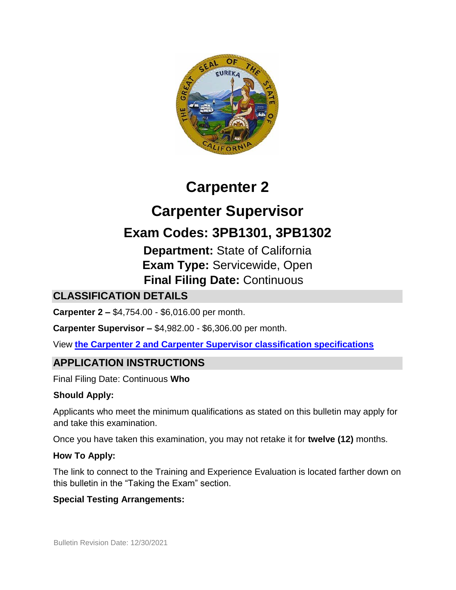

# **Carpenter 2**

**Carpenter Supervisor** 

## **Exam Codes: 3PB1301, 3PB1302**

**Department:** State of California **Exam Type:** Servicewide, Open **Final Filing Date:** Continuous

## **CLASSIFICATION DETAILS**

**Carpenter 2 –** \$4,754.00 - \$6,016.00 per month.

**Carpenter Supervisor –** \$4,982.00 - \$6,306.00 per month.

View **[the Carpenter 2 and Carpenter Supervisor classification specifications](http://www.calhr.ca.gov/state-hr-professionals/pages/6476.aspx)**

## **APPLICATION INSTRUCTIONS**

Final Filing Date: Continuous **Who** 

#### **Should Apply:**

Applicants who meet the minimum qualifications as stated on this bulletin may apply for and take this examination.

Once you have taken this examination, you may not retake it for **twelve (12)** months.

#### **How To Apply:**

The link to connect to the Training and Experience Evaluation is located farther down on this bulletin in the "Taking the Exam" section.

#### **Special Testing Arrangements:**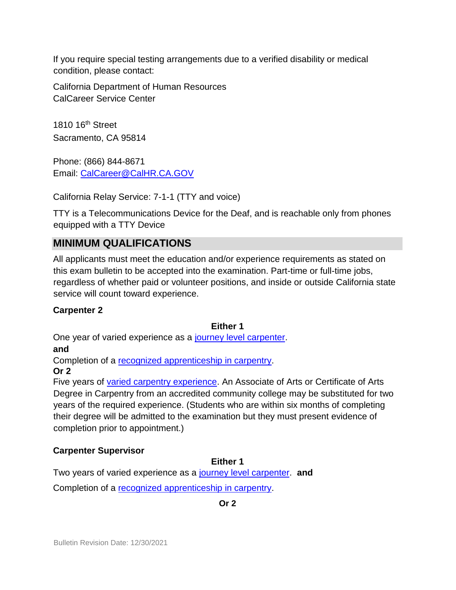If you require special testing arrangements due to a verified disability or medical condition, please contact:

California Department of Human Resources CalCareer Service Center

1810 16th Street Sacramento, CA 95814

Phone: (866) 844-8671 Email: CalCareer@CalHR.CA.GOV

California Relay Service: 7-1-1 (TTY and voice)

TTY is a Telecommunications Device for the Deaf, and is reachable only from phones equipped with a TTY Device

## **MINIMUM QUALIFICATIONS**

All applicants must meet the education and/or experience requirements as stated on this exam bulletin to be accepted into the examination. Part-time or full-time jobs, regardless of whether paid or volunteer positions, and inside or outside California state service will count toward experience.

#### **Carpenter 2**

#### **Either 1**

One year of varied experience as a [journey level carpenter.](https://jobs.ca.gov/jobsgen/3PB13C.pdf) 

**and**

Completion of a recognized apprenticeship in carpentry.

#### **Or 2**

Five years of [varied carpentry experience.](https://jobs.ca.gov/jobsgen/3PB13A.pdf) An Associate of Arts or Certificate of Arts Degree in Carpentry from an accredited community college may be substituted for two years of the required experience. (Students who are within six months of completing their degree will be admitted to the examination but they must present evidence of completion prior to appointment.)

#### **Carpenter Supervisor**

#### **Either 1**

Two years of varied experience as a [journey level carpenter.](https://jobs.ca.gov/jobsgen/3PB13C.pdf) **and**

Completion of a [recognized apprenticeship in carpentry.](https://jobs.ca.gov/jobsgen/3PB13B.pdf)

**Or 2**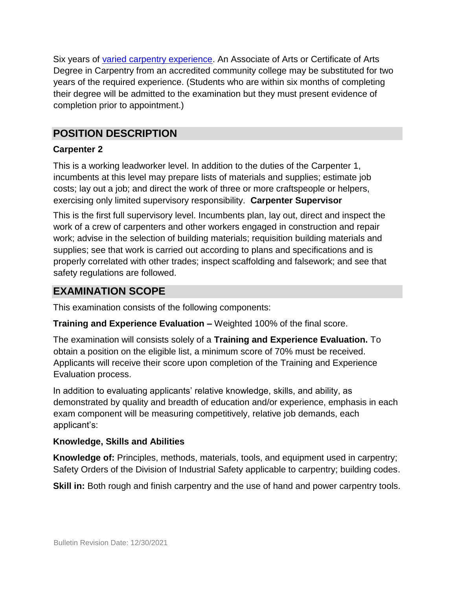Six years of [varied carpentry experience.](https://jobs.ca.gov/jobsgen/3PB13A.pdf) An Associate of Arts or Certificate of Arts Degree in Carpentry from an accredited community college may be substituted for two years of the required experience. (Students who are within six months of completing their degree will be admitted to the examination but they must present evidence of completion prior to appointment.)

## **POSITION DESCRIPTION**

#### **Carpenter 2**

This is a working leadworker level. In addition to the duties of the Carpenter 1, incumbents at this level may prepare lists of materials and supplies; estimate job costs; lay out a job; and direct the work of three or more craftspeople or helpers, exercising only limited supervisory responsibility. **Carpenter Supervisor** 

This is the first full supervisory level. Incumbents plan, lay out, direct and inspect the work of a crew of carpenters and other workers engaged in construction and repair work; advise in the selection of building materials; requisition building materials and supplies; see that work is carried out according to plans and specifications and is properly correlated with other trades; inspect scaffolding and falsework; and see that safety regulations are followed.

## **EXAMINATION SCOPE**

This examination consists of the following components:

**Training and Experience Evaluation –** Weighted 100% of the final score.

The examination will consists solely of a **Training and Experience Evaluation.** To obtain a position on the eligible list, a minimum score of 70% must be received. Applicants will receive their score upon completion of the Training and Experience Evaluation process.

In addition to evaluating applicants' relative knowledge, skills, and ability, as demonstrated by quality and breadth of education and/or experience, emphasis in each exam component will be measuring competitively, relative job demands, each applicant's:

#### **Knowledge, Skills and Abilities**

**Knowledge of:** Principles, methods, materials, tools, and equipment used in carpentry; Safety Orders of the Division of Industrial Safety applicable to carpentry; building codes.

**Skill in:** Both rough and finish carpentry and the use of hand and power carpentry tools.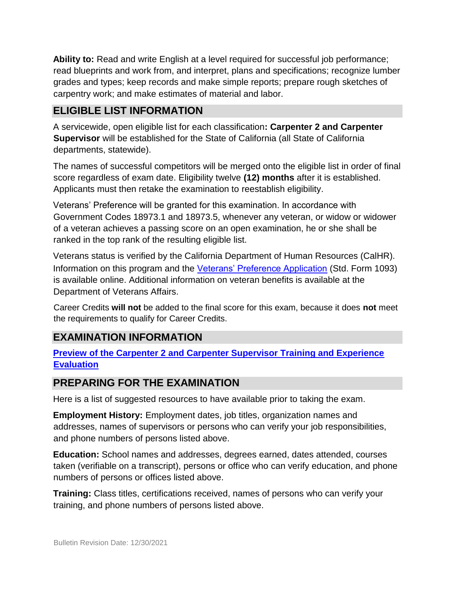**Ability to:** Read and write English at a level required for successful job performance; read blueprints and work from, and interpret, plans and specifications; recognize lumber grades and types; keep records and make simple reports; prepare rough sketches of carpentry work; and make estimates of material and labor.

## **ELIGIBLE LIST INFORMATION**

A servicewide, open eligible list for each classification**: Carpenter 2 and Carpenter Supervisor** will be established for the State of California (all State of California departments, statewide).

The names of successful competitors will be merged onto the eligible list in order of final score regardless of exam date. Eligibility twelve **(12) months** after it is established. Applicants must then retake the examination to reestablish eligibility.

Veterans' Preference will be granted for this examination. In accordance with Government Codes 18973.1 and 18973.5, whenever any veteran, or widow or widower of a veteran achieves a passing score on an open examination, he or she shall be ranked in the top rank of the resulting eligible list.

Veterans status is verified by the California Department of Human Resources (CalHR). Information on this program and the [Veterans' Preference Application](https://www.jobs.ca.gov/CalHRPublic/Landing/Jobs/VeteransInformation.aspx) (Std. Form 1093) is available online. Additional information on veteran benefits is available at the Department of Veterans Affairs.

Career Credits **will not** be added to the final score for this exam, because it does **not** meet the requirements to qualify for Career Credits.

## **EXAMINATION INFORMATION**

#### **[Preview of the Carpenter 2 and Carpenter Supervisor Training and Experience](https://jobs.ca.gov/jobsgen/3PB13D.pdf) [Evaluation](https://jobs.ca.gov/jobsgen/3PB13D.pdf)**

#### **PREPARING FOR THE EXAMINATION**

Here is a list of suggested resources to have available prior to taking the exam.

**Employment History:** Employment dates, job titles, organization names and addresses, names of supervisors or persons who can verify your job responsibilities, and phone numbers of persons listed above.

**Education:** School names and addresses, degrees earned, dates attended, courses taken (verifiable on a transcript), persons or office who can verify education, and phone numbers of persons or offices listed above.

**Training:** Class titles, certifications received, names of persons who can verify your training, and phone numbers of persons listed above.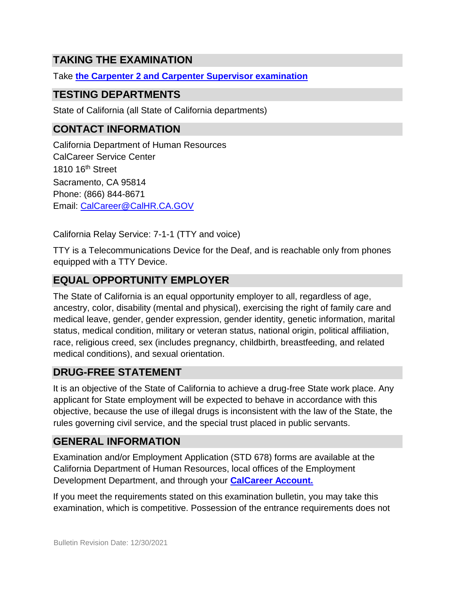## **TAKING THE EXAMINATION**

Take **[the Carpenter 2 and Carpenter Supervisor examination](https://exams.spb.ca.gov/exams/crp2/index.cfm)**

## **TESTING DEPARTMENTS**

State of California (all State of California departments)

## **CONTACT INFORMATION**

California Department of Human Resources CalCareer Service Center 1810 16<sup>th</sup> Street Sacramento, CA 95814 Phone: (866) 844-8671 Email: CalCareer@CalHR.CA.GOV

California Relay Service: 7-1-1 (TTY and voice)

TTY is a Telecommunications Device for the Deaf, and is reachable only from phones equipped with a TTY Device.

## **EQUAL OPPORTUNITY EMPLOYER**

The State of California is an equal opportunity employer to all, regardless of age, ancestry, color, disability (mental and physical), exercising the right of family care and medical leave, gender, gender expression, gender identity, genetic information, marital status, medical condition, military or veteran status, national origin, political affiliation, race, religious creed, sex (includes pregnancy, childbirth, breastfeeding, and related medical conditions), and sexual orientation.

## **DRUG-FREE STATEMENT**

It is an objective of the State of California to achieve a drug-free State work place. Any applicant for State employment will be expected to behave in accordance with this objective, because the use of illegal drugs is inconsistent with the law of the State, the rules governing civil service, and the special trust placed in public servants.

## **GENERAL INFORMATION**

Examination and/or Employment Application (STD 678) forms are available at the California Department of Human Resources, local offices of the Employment Development Department, and through your **[CalCareer Account.](http://www.jobs.ca.gov/)**

If you meet the requirements stated on this examination bulletin, you may take this examination, which is competitive. Possession of the entrance requirements does not